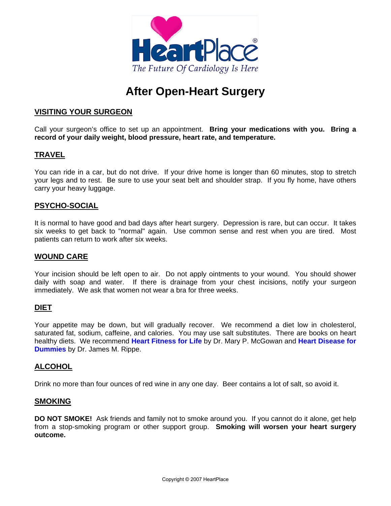

# **After Open-Heart Surgery**

## **VISITING YOUR SURGEON**

Call your surgeon's office to set up an appointment. **Bring your medications with you. Bring a record of your daily weight, blood pressure, heart rate, and temperature.**

## **TRAVEL**

You can ride in a car, but do not drive. If your drive home is longer than 60 minutes, stop to stretch your legs and to rest. Be sure to use your seat belt and shoulder strap. If you fly home, have others carry your heavy luggage.

### **PSYCHO-SOCIAL**

It is normal to have good and bad days after heart surgery. Depression is rare, but can occur. It takes six weeks to get back to "normal" again. Use common sense and rest when you are tired. Most patients can return to work after six weeks.

### **WOUND CARE**

Your incision should be left open to air. Do not apply ointments to your wound. You should shower daily with soap and water. If there is drainage from your chest incisions, notify your surgeon immediately. We ask that women not wear a bra for three weeks.

### **DIET**

Your appetite may be down, but will gradually recover. We recommend a diet low in cholesterol, saturated fat, sodium, caffeine, and calories. You may use salt substitutes. There are books on heart healthy diets. We recommend **[Heart Fitness for Life](http://www.amazon.com/exec/obidos/redirect?link_code=ur2&tag=heartplacebay-20&camp=1789&creative=9325&path=http%3A%2F%2Fwww.amazon.com%2Fgp%2Fproduct%2F0195129091%2Fsr%3D8-1%2Fqid%3D1143654104%2Fref%3Dpd_bbs_1%3F%255Fencoding%3DUTF8)** by Dr. Mary P. McGowan and **[Heart Disease for](http://www.amazon.com/exec/obidos/redirect?link_code=ur2&tag=heartplacebay-20&camp=1789&creative=9325&path=http%3A%2F%2Fwww.amazon.com%2Fgp%2Fproduct%2F0764541552%2Fqid%3D1143654415%2Fsr%3D2-1%2Fref%3Dpd_bbs_b_2_1%3Fs%3Dbooks%26v%3Dglance%26n%3D283155)  [Dummies](http://www.amazon.com/exec/obidos/redirect?link_code=ur2&tag=heartplacebay-20&camp=1789&creative=9325&path=http%3A%2F%2Fwww.amazon.com%2Fgp%2Fproduct%2F0764541552%2Fqid%3D1143654415%2Fsr%3D2-1%2Fref%3Dpd_bbs_b_2_1%3Fs%3Dbooks%26v%3Dglance%26n%3D283155)** by Dr. James M. Rippe.

### **ALCOHOL**

Drink no more than four ounces of red wine in any one day. Beer contains a lot of salt, so avoid it.

#### **SMOKING**

**DO NOT SMOKE!** Ask friends and family not to smoke around you. If you cannot do it alone, get help from a stop-smoking program or other support group. **Smoking will worsen your heart surgery outcome.**